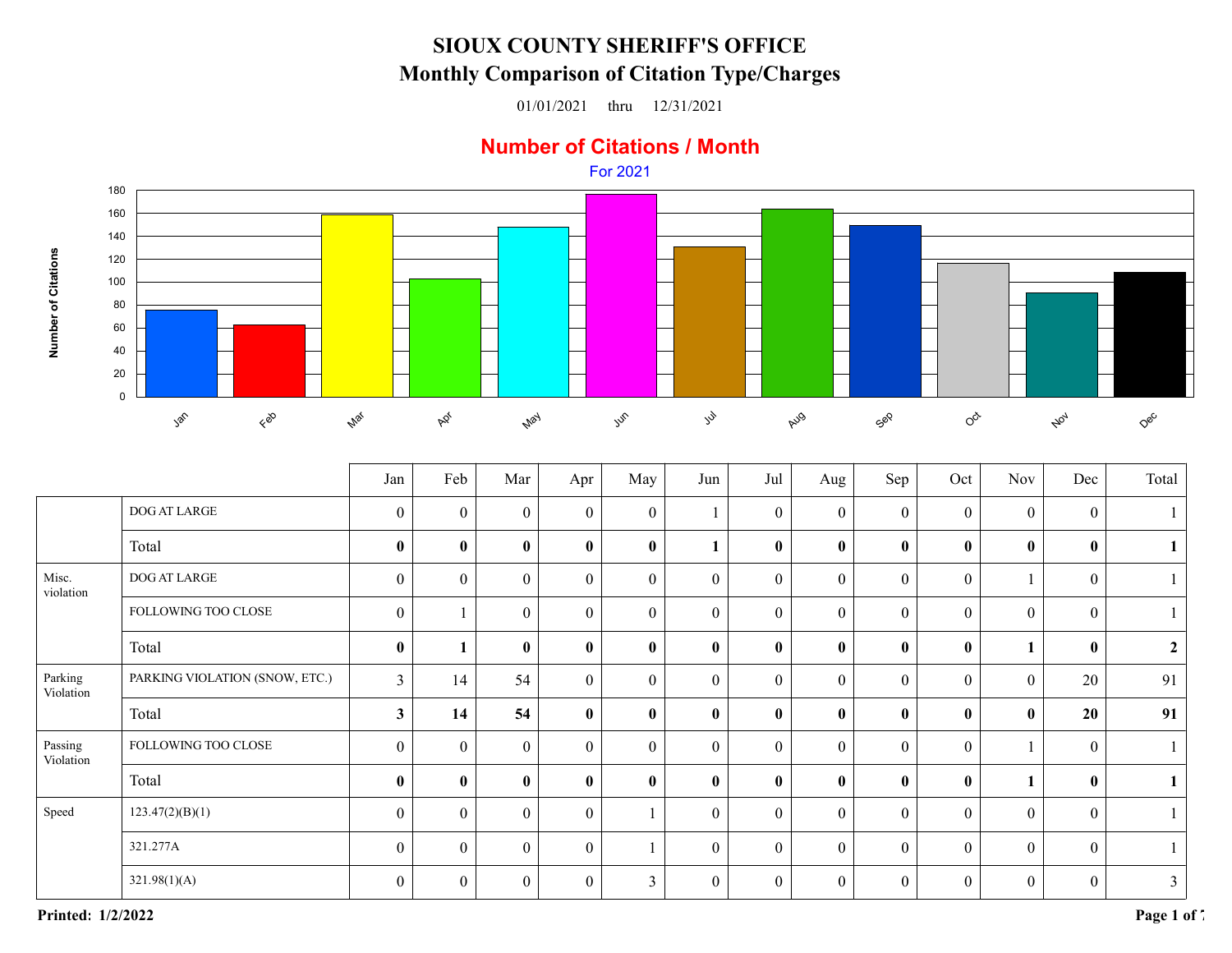## **SIOUX COUNTY SHERIFF'S OFFICEMonthly Comparison of Citation Type/Charges**

01/01/2021 thru 12/31/2021

## **Number of Citations / Month**



|                      |                                | Jan              | Feb          | Mar              | Apr              | May            | Jun              | Jul              | Aug              | Sep              | Oct              | <b>Nov</b>       | Dec              | Total          |
|----------------------|--------------------------------|------------------|--------------|------------------|------------------|----------------|------------------|------------------|------------------|------------------|------------------|------------------|------------------|----------------|
|                      | DOG AT LARGE                   | $\boldsymbol{0}$ | $\theta$     | $\mathbf{0}$     | $\overline{0}$   | $\overline{0}$ |                  | $\boldsymbol{0}$ | $\boldsymbol{0}$ | $\boldsymbol{0}$ | $\boldsymbol{0}$ | $\boldsymbol{0}$ | $\mathbf{0}$     |                |
|                      | Total                          | $\bf{0}$         | $\mathbf{0}$ | $\mathbf{0}$     | $\bf{0}$         | $\bf{0}$       | 1                | $\bf{0}$         | $\bf{0}$         | $\bf{0}$         | $\bf{0}$         | $\mathbf{0}$     | $\bf{0}$         |                |
| Misc.<br>violation   | DOG AT LARGE                   | $\boldsymbol{0}$ | $\mathbf{0}$ | $\boldsymbol{0}$ | $\mathbf{0}$     | $\overline{0}$ | $\boldsymbol{0}$ | $\boldsymbol{0}$ | $\boldsymbol{0}$ | $\boldsymbol{0}$ | $\mathbf{0}$     |                  | $\boldsymbol{0}$ |                |
|                      | FOLLOWING TOO CLOSE            | $\boldsymbol{0}$ |              | $\theta$         | $\boldsymbol{0}$ | $\overline{0}$ | $\boldsymbol{0}$ | $\boldsymbol{0}$ | $\boldsymbol{0}$ | $\boldsymbol{0}$ | $\boldsymbol{0}$ | $\theta$         | $\theta$         |                |
|                      | Total                          | $\boldsymbol{0}$ |              | $\bf{0}$         | $\pmb{0}$        | $\bf{0}$       | $\mathbf{0}$     | $\pmb{0}$        | $\bf{0}$         | $\pmb{0}$        | $\bf{0}$         | $\mathbf{1}$     | $\mathbf{0}$     | $\overline{2}$ |
| Parking<br>Violation | PARKING VIOLATION (SNOW, ETC.) | $\overline{3}$   | 14           | 54               | $\overline{0}$   | $\overline{0}$ | $\boldsymbol{0}$ | $\boldsymbol{0}$ | $\mathbf{0}$     | $\boldsymbol{0}$ | $\boldsymbol{0}$ | $\boldsymbol{0}$ | 20               | 91             |
|                      | Total                          | $\mathbf{3}$     | 14           | 54               | $\bf{0}$         | $\bf{0}$       | $\bf{0}$         | $\bf{0}$         | $\bf{0}$         | $\pmb{0}$        | $\bf{0}$         | $\bf{0}$         | 20               | 91             |
| Passing<br>Violation | FOLLOWING TOO CLOSE            | $\mathbf{0}$     | $\theta$     | $\overline{0}$   | $\mathbf{0}$     | $\overline{0}$ | $\boldsymbol{0}$ | $\boldsymbol{0}$ | $\mathbf{0}$     | $\boldsymbol{0}$ | $\mathbf{0}$     |                  | $\theta$         |                |
|                      | Total                          | $\bf{0}$         | $\mathbf{0}$ | $\bf{0}$         | $\bf{0}$         | $\mathbf{0}$   | $\mathbf{0}$     | $\bf{0}$         | $\bf{0}$         | $\pmb{0}$        | $\bf{0}$         | $\mathbf{1}$     | $\mathbf{0}$     |                |
| Speed                | 123.47(2)(B)(1)                | $\boldsymbol{0}$ | $\theta$     | $\overline{0}$   | $\mathbf{0}$     |                | $\boldsymbol{0}$ | $\boldsymbol{0}$ | $\mathbf{0}$     | $\mathbf{0}$     | $\boldsymbol{0}$ | $\mathbf{0}$     | $\theta$         |                |
|                      | 321.277A                       | $\boldsymbol{0}$ | $\theta$     | $\overline{0}$   | $\mathbf{0}$     |                | $\boldsymbol{0}$ | $\mathbf{0}$     | $\mathbf{0}$     | $\mathbf{0}$     | $\boldsymbol{0}$ | $\boldsymbol{0}$ | $\theta$         |                |
|                      | 321.98(1)(A)                   | $\theta$         | $\theta$     | $\theta$         | $\theta$         | 3              | $\boldsymbol{0}$ | $\mathbf{0}$     | $\boldsymbol{0}$ | $\boldsymbol{0}$ | $\boldsymbol{0}$ | $\boldsymbol{0}$ | $\theta$         | $\mathfrak{Z}$ |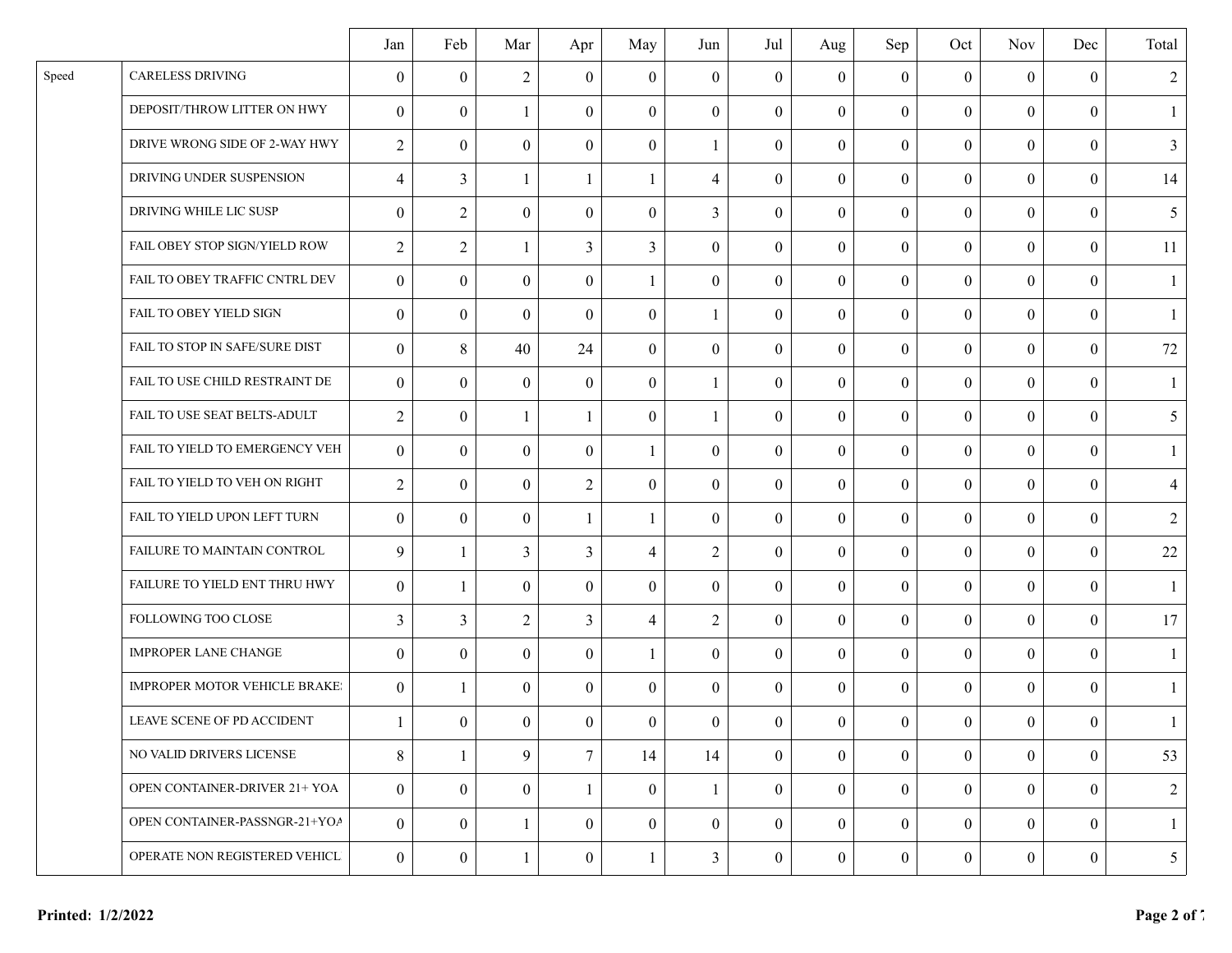|       |                                      | Jan              | Feb            | Mar              | Apr            | May              | Jun              | Jul              | Aug            | Sep              | Oct              | <b>Nov</b>       | Dec              | Total          |
|-------|--------------------------------------|------------------|----------------|------------------|----------------|------------------|------------------|------------------|----------------|------------------|------------------|------------------|------------------|----------------|
| Speed | <b>CARELESS DRIVING</b>              | $\theta$         | $\theta$       | $\overline{2}$   | $\theta$       | $\overline{0}$   | $\overline{0}$   | $\boldsymbol{0}$ | $\overline{0}$ | $\boldsymbol{0}$ | $\boldsymbol{0}$ | $\boldsymbol{0}$ | $\overline{0}$   | 2              |
|       | DEPOSIT/THROW LITTER ON HWY          | $\theta$         | $\theta$       | $\mathbf{1}$     | $\theta$       | $\Omega$         | $\theta$         | $\overline{0}$   | $\theta$       | $\boldsymbol{0}$ | $\theta$         | $\theta$         | $\theta$         | $\mathbf{1}$   |
|       | DRIVE WRONG SIDE OF 2-WAY HWY        | $\overline{2}$   | $\theta$       | $\overline{0}$   | $\theta$       | $\theta$         | -1               | $\overline{0}$   | $\mathbf{0}$   | $\boldsymbol{0}$ | $\mathbf{0}$     | $\mathbf{0}$     | $\theta$         | 3              |
|       | DRIVING UNDER SUSPENSION             | $\overline{4}$   | $\overline{3}$ |                  | $\mathbf{1}$   | 1                | 4                | $\overline{0}$   | $\theta$       | $\boldsymbol{0}$ | $\mathbf{0}$     | $\mathbf{0}$     | $\theta$         | 14             |
|       | DRIVING WHILE LIC SUSP               | $\boldsymbol{0}$ | $\overline{2}$ | $\overline{0}$   | $\mathbf{0}$   | $\boldsymbol{0}$ | $\overline{3}$   | $\mathbf{0}$     | $\mathbf{0}$   | $\boldsymbol{0}$ | $\mathbf{0}$     | $\mathbf{0}$     | $\overline{0}$   | 5              |
|       | FAIL OBEY STOP SIGN/YIELD ROW        | $\overline{2}$   | $\overline{2}$ |                  | $\overline{3}$ | 3                | $\overline{0}$   | $\overline{0}$   | $\theta$       | $\boldsymbol{0}$ | $\mathbf{0}$     | $\theta$         | $\theta$         | 11             |
|       | FAIL TO OBEY TRAFFIC CNTRL DEV       | $\theta$         | $\theta$       | $\mathbf{0}$     | $\theta$       | $\mathbf{1}$     | $\boldsymbol{0}$ | $\overline{0}$   | $\overline{0}$ | $\boldsymbol{0}$ | $\boldsymbol{0}$ | $\theta$         | $\theta$         |                |
|       | FAIL TO OBEY YIELD SIGN              | $\boldsymbol{0}$ | $\theta$       | $\overline{0}$   | $\theta$       | $\boldsymbol{0}$ | -1               | $\mathbf{0}$     | $\mathbf{0}$   | $\boldsymbol{0}$ | $\mathbf{0}$     | $\boldsymbol{0}$ | $\boldsymbol{0}$ | $\mathbf{1}$   |
|       | FAIL TO STOP IN SAFE/SURE DIST       | $\boldsymbol{0}$ | 8              | 40               | 24             | $\mathbf{0}$     | $\boldsymbol{0}$ | $\overline{0}$   | $\overline{0}$ | $\boldsymbol{0}$ | $\boldsymbol{0}$ | $\boldsymbol{0}$ | $\boldsymbol{0}$ | 72             |
|       | FAIL TO USE CHILD RESTRAINT DE       | $\mathbf{0}$     | $\overline{0}$ | $\overline{0}$   | $\theta$       | $\theta$         | -1               | $\mathbf{0}$     | $\overline{0}$ | $\overline{0}$   | $\mathbf{0}$     | $\overline{0}$   | $\theta$         | $\overline{1}$ |
|       | FAIL TO USE SEAT BELTS-ADULT         | $\overline{2}$   | $\theta$       | 1                | $\mathbf{1}$   | $\Omega$         | $\mathbf{1}$     | $\mathbf{0}$     | $\mathbf{0}$   | $\boldsymbol{0}$ | $\mathbf{0}$     | $\theta$         | $\theta$         | 5              |
|       | FAIL TO YIELD TO EMERGENCY VEH       | $\theta$         | $\theta$       | $\mathbf{0}$     | $\Omega$       | 1                | $\mathbf{0}$     | $\overline{0}$   | $\overline{0}$ | $\boldsymbol{0}$ | $\theta$         | $\theta$         | $\theta$         |                |
|       | FAIL TO YIELD TO VEH ON RIGHT        | $\overline{2}$   | $\theta$       | $\theta$         | $\overline{2}$ | $\Omega$         | $\overline{0}$   | $\mathbf{0}$     | $\overline{0}$ | $\boldsymbol{0}$ | $\mathbf{0}$     | $\boldsymbol{0}$ | $\overline{0}$   | $\overline{4}$ |
|       | FAIL TO YIELD UPON LEFT TURN         | $\theta$         | $\theta$       | $\boldsymbol{0}$ | 1              | 1                | $\overline{0}$   | $\overline{0}$   | $\mathbf{0}$   | $\boldsymbol{0}$ | $\mathbf{0}$     | $\boldsymbol{0}$ | $\theta$         | $\overline{2}$ |
|       | FAILURE TO MAINTAIN CONTROL          | 9                |                | $\overline{3}$   | $\overline{3}$ | 4                | $\overline{2}$   | $\overline{0}$   | $\theta$       | $\boldsymbol{0}$ | $\mathbf{0}$     | $\theta$         | $\theta$         | $22\,$         |
|       | FAILURE TO YIELD ENT THRU HWY        | $\boldsymbol{0}$ |                | $\overline{0}$   | $\theta$       | $\boldsymbol{0}$ | $\mathbf{0}$     | $\overline{0}$   | $\mathbf{0}$   | $\boldsymbol{0}$ | $\mathbf{0}$     | $\boldsymbol{0}$ | $\overline{0}$   | $\overline{1}$ |
|       | FOLLOWING TOO CLOSE                  | 3                | 3              | $\overline{2}$   | 3              | 4                | $\overline{2}$   | $\overline{0}$   | $\theta$       | $\overline{0}$   | $\theta$         | $\theta$         | $\theta$         | 17             |
|       | <b>IMPROPER LANE CHANGE</b>          | $\theta$         | $\theta$       | $\mathbf{0}$     | $\theta$       | 1                | $\overline{0}$   | $\overline{0}$   | $\theta$       | $\overline{0}$   | $\mathbf{0}$     | $\mathbf{0}$     | $\theta$         |                |
|       | <b>IMPROPER MOTOR VEHICLE BRAKE:</b> | $\theta$         |                | $\overline{0}$   | $\overline{0}$ | $\Omega$         | $\theta$         | $\overline{0}$   | $\theta$       | $\boldsymbol{0}$ | $\overline{0}$   | $\mathbf{0}$     | $\theta$         | $\mathbf{1}$   |
|       | LEAVE SCENE OF PD ACCIDENT           | 1                | $\overline{0}$ | $\overline{0}$   | $\overline{0}$ | $\overline{0}$   | $\overline{0}$   | $\overline{0}$   | $\overline{0}$ | $\overline{0}$   | $\mathbf{0}$     | $\overline{0}$   | $\overline{0}$   | -1             |
|       | NO VALID DRIVERS LICENSE             | $8\,$            |                | 9                | $\overline{7}$ | 14               | 14               | $\mathbf{0}$     | $\overline{0}$ | $\boldsymbol{0}$ | $\mathbf{0}$     | $\mathbf{0}$     | $\overline{0}$   | 53             |
|       | OPEN CONTAINER-DRIVER 21+ YOA        | $\mathbf{0}$     | $\overline{0}$ | $\overline{0}$   | $\mathbf{1}$   | $\overline{0}$   | 1                | $\mathbf{0}$     | $\overline{0}$ | $\boldsymbol{0}$ | $\mathbf{0}$     | $\mathbf{0}$     | $\overline{0}$   | 2              |
|       | OPEN CONTAINER-PASSNGR-21+YOA        | $\mathbf{0}$     | $\theta$       |                  | $\theta$       | $\mathbf{0}$     | $\overline{0}$   | $\mathbf{0}$     | $\mathbf{0}$   | $\boldsymbol{0}$ | $\mathbf{0}$     | $\overline{0}$   | $\theta$         |                |
|       | OPERATE NON REGISTERED VEHICL        | $\mathbf{0}$     | $\overline{0}$ |                  | $\mathbf{0}$   | 1                | $\mathfrak{Z}$   | $\mathbf{0}$     | $\mathbf{0}$   | $\boldsymbol{0}$ | $\mathbf{0}$     | $\overline{0}$   | $\boldsymbol{0}$ | 5              |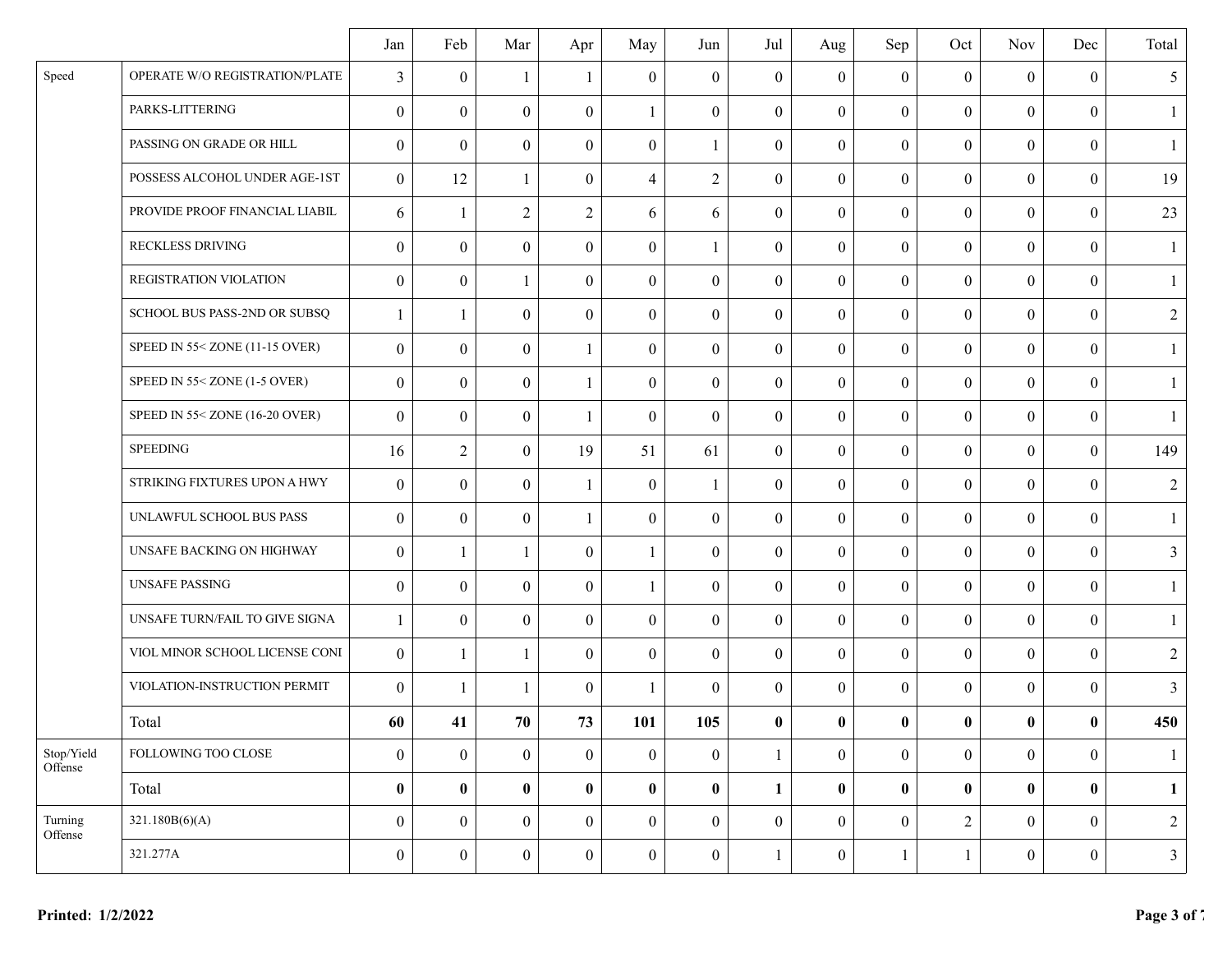|                       |                                | Jan              | Feb              | Mar              | Apr              | May              | Jun              | Jul              | Aug              | Sep              | Oct              | <b>Nov</b>       | Dec              | Total          |
|-----------------------|--------------------------------|------------------|------------------|------------------|------------------|------------------|------------------|------------------|------------------|------------------|------------------|------------------|------------------|----------------|
| Speed                 | OPERATE W/O REGISTRATION/PLATE | $\mathfrak{Z}$   | $\theta$         | 1                | 1                | $\theta$         | $\mathbf{0}$     | $\overline{0}$   | $\mathbf{0}$     | $\boldsymbol{0}$ | $\mathbf{0}$     | $\theta$         | $\theta$         | 5              |
|                       | PARKS-LITTERING                | $\theta$         | $\theta$         | $\theta$         | $\boldsymbol{0}$ | 1                | $\overline{0}$   | $\overline{0}$   | $\overline{0}$   | $\boldsymbol{0}$ | $\boldsymbol{0}$ | $\overline{0}$   | $\mathbf{0}$     | -1             |
|                       | PASSING ON GRADE OR HILL       | $\theta$         | $\overline{0}$   | $\mathbf{0}$     | $\theta$         | $\theta$         | -1               | $\mathbf{0}$     | $\mathbf{0}$     | $\boldsymbol{0}$ | $\mathbf{0}$     | $\mathbf{0}$     | $\mathbf{0}$     | $\mathbf{1}$   |
|                       | POSSESS ALCOHOL UNDER AGE-1ST  | $\theta$         | 12               | 1                | $\theta$         | $\overline{4}$   | $\overline{2}$   | $\boldsymbol{0}$ | $\overline{0}$   | $\boldsymbol{0}$ | $\boldsymbol{0}$ | $\theta$         | $\boldsymbol{0}$ | 19             |
|                       | PROVIDE PROOF FINANCIAL LIABIL | 6                | 1                | $\overline{2}$   | $\overline{2}$   | 6                | 6                | $\mathbf{0}$     | $\overline{0}$   | $\boldsymbol{0}$ | $\mathbf{0}$     | $\overline{0}$   | $\mathbf{0}$     | 23             |
|                       | RECKLESS DRIVING               | $\theta$         | $\overline{0}$   | $\overline{0}$   | $\mathbf{0}$     | $\boldsymbol{0}$ | $\mathbf{1}$     | $\overline{0}$   | $\mathbf{0}$     | $\overline{0}$   | $\mathbf{0}$     | $\theta$         | $\mathbf{0}$     | -1             |
|                       | REGISTRATION VIOLATION         | $\theta$         | $\overline{0}$   | 1                | $\theta$         | $\theta$         | $\mathbf{0}$     | $\overline{0}$   | $\overline{0}$   | $\boldsymbol{0}$ | $\boldsymbol{0}$ | $\theta$         | $\boldsymbol{0}$ |                |
|                       | SCHOOL BUS PASS-2ND OR SUBSQ   |                  | $\mathbf{1}$     | $\Omega$         | $\theta$         | $\boldsymbol{0}$ | $\overline{0}$   | $\overline{0}$   | $\mathbf{0}$     | $\boldsymbol{0}$ | $\boldsymbol{0}$ | $\boldsymbol{0}$ | $\mathbf{0}$     | $\overline{2}$ |
|                       | SPEED IN 55< ZONE (11-15 OVER) | $\theta$         | $\overline{0}$   | $\boldsymbol{0}$ | 1                | $\boldsymbol{0}$ | $\overline{0}$   | $\mathbf{0}$     | $\overline{0}$   | $\boldsymbol{0}$ | $\boldsymbol{0}$ | $\boldsymbol{0}$ | $\mathbf{0}$     |                |
|                       | SPEED IN 55< ZONE (1-5 OVER)   | $\theta$         | $\theta$         | $\theta$         | $\mathbf{1}$     | $\theta$         | $\overline{0}$   | $\overline{0}$   | $\overline{0}$   | $\boldsymbol{0}$ | $\boldsymbol{0}$ | $\theta$         | $\boldsymbol{0}$ |                |
|                       | SPEED IN 55< ZONE (16-20 OVER) | $\theta$         | $\overline{0}$   | $\mathbf{0}$     | $\mathbf{1}$     | $\boldsymbol{0}$ | $\mathbf{0}$     | $\mathbf{0}$     | $\overline{0}$   | $\boldsymbol{0}$ | $\boldsymbol{0}$ | $\theta$         | $\mathbf{0}$     | $\overline{1}$ |
|                       | <b>SPEEDING</b>                | 16               | $\overline{2}$   | $\theta$         | 19               | 51               | 61               | $\overline{0}$   | $\overline{0}$   | $\boldsymbol{0}$ | $\boldsymbol{0}$ | $\theta$         | $\mathbf{0}$     | 149            |
|                       | STRIKING FIXTURES UPON A HWY   | $\theta$         | $\overline{0}$   | $\theta$         | $\mathbf{1}$     | $\theta$         | -1               | $\overline{0}$   | $\theta$         | $\overline{0}$   | $\boldsymbol{0}$ | $\boldsymbol{0}$ | $\mathbf{0}$     | $\overline{2}$ |
|                       | UNLAWFUL SCHOOL BUS PASS       | $\theta$         | $\overline{0}$   | $\theta$         | 1                | $\theta$         | $\overline{0}$   | $\overline{0}$   | $\mathbf{0}$     | $\boldsymbol{0}$ | $\mathbf{0}$     | $\theta$         | $\theta$         | $\mathbf{1}$   |
|                       | UNSAFE BACKING ON HIGHWAY      | $\theta$         | 1                | 1                | $\theta$         | 1                | $\mathbf{0}$     | $\boldsymbol{0}$ | $\overline{0}$   | $\boldsymbol{0}$ | $\boldsymbol{0}$ | $\boldsymbol{0}$ | $\boldsymbol{0}$ | 3              |
|                       | <b>UNSAFE PASSING</b>          | $\theta$         | $\overline{0}$   | $\mathbf{0}$     | $\theta$         | $\mathbf{1}$     | $\mathbf{0}$     | $\mathbf{0}$     | $\overline{0}$   | $\boldsymbol{0}$ | $\boldsymbol{0}$ | $\mathbf{0}$     | $\mathbf{0}$     | $\mathbf{1}$   |
|                       | UNSAFE TURN/FAIL TO GIVE SIGNA | $\mathbf{1}$     | $\overline{0}$   | $\overline{0}$   | $\mathbf{0}$     | $\overline{0}$   | $\mathbf{0}$     | $\mathbf{0}$     | $\mathbf{0}$     | $\overline{0}$   | $\mathbf{0}$     | $\theta$         | $\mathbf{0}$     | -1             |
|                       | VIOL MINOR SCHOOL LICENSE CONI | $\theta$         | 1                | 1                | $\theta$         | $\theta$         | $\theta$         | $\overline{0}$   | $\theta$         | $\boldsymbol{0}$ | $\mathbf{0}$     | $\theta$         | $\theta$         | $\overline{2}$ |
|                       | VIOLATION-INSTRUCTION PERMIT   | $\theta$         | $\mathbf{1}$     | $\mathbf{1}$     | $\theta$         | -1               | $\overline{0}$   | $\overline{0}$   | $\overline{0}$   | $\boldsymbol{0}$ | $\boldsymbol{0}$ | $\boldsymbol{0}$ | $\mathbf{0}$     | 3              |
|                       | Total                          | 60               | 41               | ${\bf 70}$       | 73               | 101              | 105              | $\bf{0}$         | $\bf{0}$         | $\pmb{0}$        | $\pmb{0}$        | $\bf{0}$         | $\bf{0}$         | 450            |
| Stop/Yield<br>Offense | FOLLOWING TOO CLOSE            | $\overline{0}$   | $\mathbf{0}$     | $\mathbf{0}$     | $\mathbf{0}$     | $\overline{0}$   | $\boldsymbol{0}$ | $\mathbf{1}$     | $\overline{0}$   | $\boldsymbol{0}$ | $\boldsymbol{0}$ | $\boldsymbol{0}$ | $\overline{0}$   | -1             |
|                       | Total                          | $\bf{0}$         | $\bf{0}$         | $\pmb{0}$        | $\bf{0}$         | $\bf{0}$         | $\bf{0}$         | $\mathbf{1}$     | $\bf{0}$         | $\pmb{0}$        | $\bf{0}$         | $\bf{0}$         | $\bf{0}$         | $\mathbf{1}$   |
| Turning<br>Offense    | 321.180B(6)(A)                 | $\mathbf{0}$     | $\boldsymbol{0}$ | $\mathbf{0}$     | $\boldsymbol{0}$ | $\boldsymbol{0}$ | $\mathbf{0}$     | $\mathbf{0}$     | $\overline{0}$   | $\boldsymbol{0}$ | $\sqrt{2}$       | $\boldsymbol{0}$ | $\mathbf{0}$     | $\overline{2}$ |
|                       | 321.277A                       | $\boldsymbol{0}$ | $\boldsymbol{0}$ | $\boldsymbol{0}$ | $\boldsymbol{0}$ | $\boldsymbol{0}$ | $\boldsymbol{0}$ | $\mathbf{1}$     | $\boldsymbol{0}$ | $\mathbf{1}$     | $\mathbf{1}$     | $\boldsymbol{0}$ | $\boldsymbol{0}$ | $\mathfrak{Z}$ |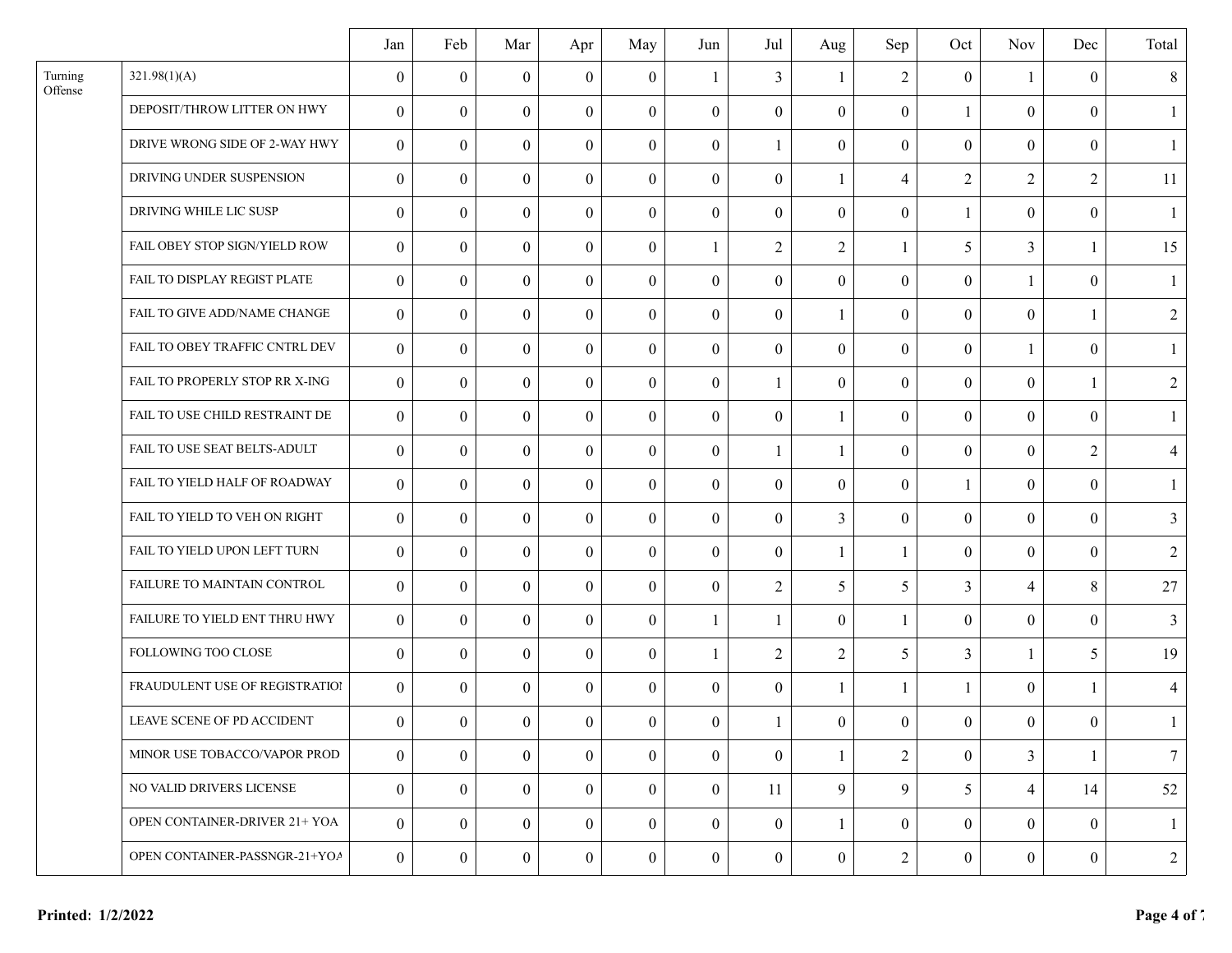|                    |                                | Jan              | Feb            | Mar              | Apr              | May              | Jun              | Jul              | Aug              | Sep              | Oct              | <b>Nov</b>       | Dec            | Total          |
|--------------------|--------------------------------|------------------|----------------|------------------|------------------|------------------|------------------|------------------|------------------|------------------|------------------|------------------|----------------|----------------|
| Turning<br>Offense | 321.98(1)(A)                   | $\boldsymbol{0}$ | $\theta$       | $\theta$         | $\theta$         | $\theta$         | 1                | $\mathfrak{Z}$   | 1                | $\overline{c}$   | $\boldsymbol{0}$ | $\mathbf{1}$     | $\overline{0}$ | 8              |
|                    | DEPOSIT/THROW LITTER ON HWY    | $\boldsymbol{0}$ | $\theta$       | $\mathbf{0}$     | $\overline{0}$   | $\boldsymbol{0}$ | $\boldsymbol{0}$ | $\overline{0}$   | $\theta$         | $\boldsymbol{0}$ | 1                | $\theta$         | $\mathbf{0}$   | -1             |
|                    | DRIVE WRONG SIDE OF 2-WAY HWY  | $\overline{0}$   | $\theta$       | $\boldsymbol{0}$ | $\overline{0}$   | $\boldsymbol{0}$ | $\overline{0}$   | 1                | $\mathbf{0}$     | $\boldsymbol{0}$ | $\boldsymbol{0}$ | $\theta$         | $\mathbf{0}$   | $\mathbf{1}$   |
|                    | DRIVING UNDER SUSPENSION       | $\mathbf{0}$     | $\theta$       | $\mathbf{0}$     | $\overline{0}$   | $\theta$         | $\mathbf{0}$     | $\boldsymbol{0}$ | $\mathbf{1}$     | $\overline{4}$   | $\overline{2}$   | $\overline{2}$   | $\overline{2}$ | 11             |
|                    | DRIVING WHILE LIC SUSP         | $\overline{0}$   | $\theta$       | $\overline{0}$   | $\overline{0}$   | $\mathbf{0}$     | $\boldsymbol{0}$ | $\mathbf{0}$     | $\mathbf{0}$     | $\boldsymbol{0}$ | $\mathbf{1}$     | $\boldsymbol{0}$ | $\mathbf{0}$   | $\overline{1}$ |
|                    | FAIL OBEY STOP SIGN/YIELD ROW  | $\overline{0}$   | $\theta$       | $\mathbf{0}$     | $\boldsymbol{0}$ | $\boldsymbol{0}$ | 1                | $\overline{2}$   | $\overline{2}$   | $\mathbf{1}$     | 5                | $\overline{3}$   | -1             | 15             |
|                    | FAIL TO DISPLAY REGIST PLATE   | $\theta$         | $\theta$       | $\mathbf{0}$     | $\theta$         | $\theta$         | $\mathbf{0}$     | $\overline{0}$   | $\boldsymbol{0}$ | $\boldsymbol{0}$ | $\boldsymbol{0}$ | $\mathbf{1}$     | $\theta$       |                |
|                    | FAIL TO GIVE ADD/NAME CHANGE   | $\overline{0}$   | $\theta$       | $\mathbf{0}$     | $\overline{0}$   | $\boldsymbol{0}$ | $\boldsymbol{0}$ | $\boldsymbol{0}$ | $\mathbf{1}$     | $\boldsymbol{0}$ | $\boldsymbol{0}$ | $\boldsymbol{0}$ | -1             | $\overline{2}$ |
|                    | FAIL TO OBEY TRAFFIC CNTRL DEV | $\overline{0}$   | $\theta$       | $\mathbf{0}$     | $\overline{0}$   | $\boldsymbol{0}$ | $\overline{0}$   | $\boldsymbol{0}$ | $\mathbf{0}$     | $\boldsymbol{0}$ | $\mathbf{0}$     | $\mathbf{1}$     | $\theta$       | -1             |
|                    | FAIL TO PROPERLY STOP RR X-ING | $\overline{0}$   | $\theta$       | $\overline{0}$   | $\theta$         | $\boldsymbol{0}$ | $\overline{0}$   | 1                | $\mathbf{0}$     | $\boldsymbol{0}$ | $\boldsymbol{0}$ | $\mathbf{0}$     | $\mathbf{1}$   | $\sqrt{2}$     |
|                    | FAIL TO USE CHILD RESTRAINT DE | $\overline{0}$   | $\theta$       | $\mathbf{0}$     | $\overline{0}$   | $\theta$         | $\boldsymbol{0}$ | $\overline{0}$   | $\mathbf{1}$     | $\boldsymbol{0}$ | $\mathbf{0}$     | $\mathbf{0}$     | $\mathbf{0}$   | $\mathbf{1}$   |
|                    | FAIL TO USE SEAT BELTS-ADULT   | $\boldsymbol{0}$ | $\theta$       | $\Omega$         | $\theta$         | $\theta$         | $\mathbf{0}$     | $\mathbf{1}$     | 1                | $\boldsymbol{0}$ | $\boldsymbol{0}$ | $\boldsymbol{0}$ | $\overline{2}$ | $\overline{4}$ |
|                    | FAIL TO YIELD HALF OF ROADWAY  | $\boldsymbol{0}$ | $\theta$       | $\mathbf{0}$     | $\theta$         | $\theta$         | $\overline{0}$   | $\overline{0}$   | $\theta$         | $\boldsymbol{0}$ | $\mathbf{1}$     | $\theta$         | $\theta$       | $\mathbf{1}$   |
|                    | FAIL TO YIELD TO VEH ON RIGHT  | $\overline{0}$   | $\theta$       | $\overline{0}$   | $\mathbf{0}$     | $\boldsymbol{0}$ | $\overline{0}$   | $\overline{0}$   | 3                | $\boldsymbol{0}$ | $\boldsymbol{0}$ | $\theta$         | $\mathbf{0}$   | 3              |
|                    | FAIL TO YIELD UPON LEFT TURN   | $\boldsymbol{0}$ | $\theta$       | $\mathbf{0}$     | $\mathbf{0}$     | $\boldsymbol{0}$ | $\boldsymbol{0}$ | $\boldsymbol{0}$ | $\mathbf{1}$     | $\mathbf{1}$     | $\boldsymbol{0}$ | $\boldsymbol{0}$ | $\theta$       | 2              |
|                    | FAILURE TO MAINTAIN CONTROL    | $\overline{0}$   | $\theta$       | $\overline{0}$   | $\overline{0}$   | $\boldsymbol{0}$ | $\boldsymbol{0}$ | $\overline{2}$   | 5                | 5                | 3                | $\overline{4}$   | 8              | $27\,$         |
|                    | FAILURE TO YIELD ENT THRU HWY  | $\overline{0}$   | $\theta$       | $\mathbf{0}$     | $\overline{0}$   | $\boldsymbol{0}$ | 1                | -1               | $\mathbf{0}$     | 1                | $\boldsymbol{0}$ | $\theta$         | $\theta$       | 3              |
|                    | FOLLOWING TOO CLOSE            | $\theta$         | $\theta$       | $\Omega$         | $\theta$         | $\mathbf{0}$     | $\mathbf{1}$     | $\overline{2}$   | $\overline{2}$   | 5                | $\overline{3}$   | $\mathbf{1}$     | 5              | 19             |
|                    | FRAUDULENT USE OF REGISTRATION | $\overline{0}$   | $\theta$       | $\mathbf{0}$     | $\overline{0}$   | $\theta$         | $\overline{0}$   | $\overline{0}$   | $\mathbf{1}$     | $\mathbf{1}$     | $\mathbf{1}$     | $\boldsymbol{0}$ | $\mathbf{1}$   | $\overline{4}$ |
|                    | LEAVE SCENE OF PD ACCIDENT     | $\theta$         | $\theta$       | $\overline{0}$   | $\theta$         | $\overline{0}$   | $\overline{0}$   | $\mathbf{1}$     | $\theta$         | $\theta$         | $\theta$         | $\theta$         | $\theta$       | $\mathbf{1}$   |
|                    | MINOR USE TOBACCO/VAPOR PROD   | $\overline{0}$   | $\theta$       | $\overline{0}$   | $\mathbf{0}$     | $\overline{0}$   | $\mathbf{0}$     | $\overline{0}$   | 1                | $\overline{2}$   | $\mathbf{0}$     | 3                | 1              | $\tau$         |
|                    | NO VALID DRIVERS LICENSE       | $\overline{0}$   | $\theta$       | $\overline{0}$   | $\mathbf{0}$     | $\overline{0}$   | $\overline{0}$   | 11               | 9                | 9                | 5                | $\overline{4}$   | 14             | 52             |
|                    | OPEN CONTAINER-DRIVER 21+ YOA  | $\mathbf{0}$     | $\theta$       | $\mathbf{0}$     | $\mathbf{0}$     | $\overline{0}$   | $\overline{0}$   | $\boldsymbol{0}$ | 1                | $\boldsymbol{0}$ | $\mathbf{0}$     | $\mathbf{0}$     | $\overline{0}$ |                |
|                    | OPEN CONTAINER-PASSNGR-21+YOA  | $\overline{0}$   | $\overline{0}$ | $\mathbf{0}$     | $\overline{0}$   | $\overline{0}$   | $\overline{0}$   | $\boldsymbol{0}$ | $\mathbf{0}$     | $\boldsymbol{2}$ | $\boldsymbol{0}$ | $\overline{0}$   | $\mathbf{0}$   | $\overline{2}$ |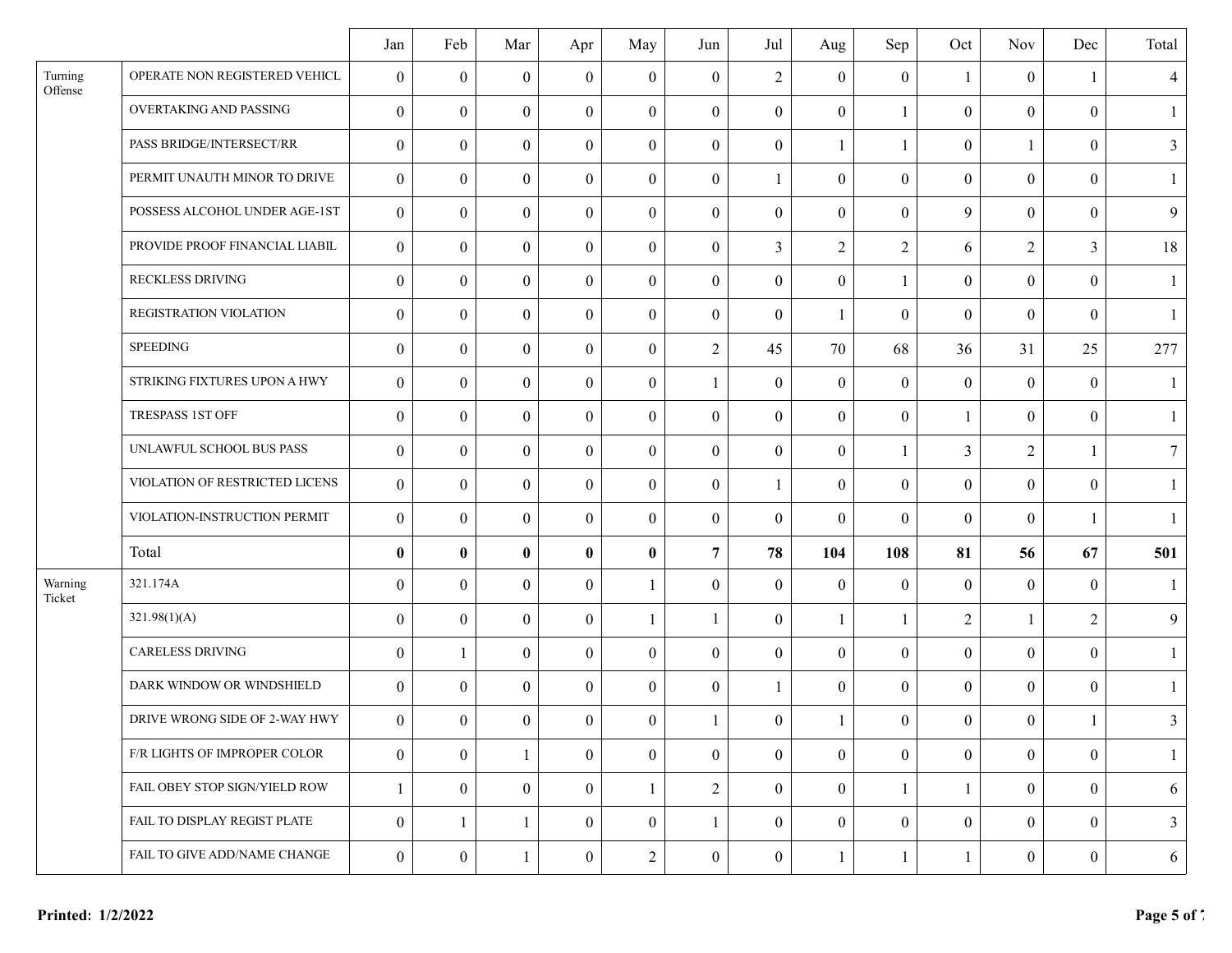|                    |                                | Jan              | Feb            | Mar              | Apr              | May              | Jun              | Jul              | Aug              | Sep              | Oct              | <b>Nov</b>       | Dec            | Total          |
|--------------------|--------------------------------|------------------|----------------|------------------|------------------|------------------|------------------|------------------|------------------|------------------|------------------|------------------|----------------|----------------|
| Turning<br>Offense | OPERATE NON REGISTERED VEHICL  | $\theta$         | $\theta$       | $\mathbf{0}$     | $\theta$         | $\boldsymbol{0}$ | $\boldsymbol{0}$ | $\overline{2}$   | $\overline{0}$   | $\boldsymbol{0}$ | $\mathbf{1}$     | $\boldsymbol{0}$ | -1             | $\overline{4}$ |
|                    | OVERTAKING AND PASSING         | $\mathbf{0}$     | $\theta$       | $\overline{0}$   | $\mathbf{0}$     | $\Omega$         | $\overline{0}$   | $\mathbf{0}$     | $\theta$         | 1                | $\mathbf{0}$     | $\boldsymbol{0}$ | $\theta$       | -1             |
|                    | PASS BRIDGE/INTERSECT/RR       | $\mathbf{0}$     | $\theta$       | $\overline{0}$   | $\boldsymbol{0}$ | $\mathbf{0}$     | $\overline{0}$   | $\mathbf{0}$     | $\mathbf{1}$     | $\mathbf{1}$     | $\mathbf{0}$     | $\mathbf{1}$     | $\mathbf{0}$   | 3              |
|                    | PERMIT UNAUTH MINOR TO DRIVE   | $\mathbf{0}$     | $\overline{0}$ | $\overline{0}$   | $\mathbf{0}$     | $\Omega$         | $\boldsymbol{0}$ | $\mathbf{1}$     | $\mathbf{0}$     | $\boldsymbol{0}$ | $\mathbf{0}$     | $\mathbf{0}$     | $\theta$       |                |
|                    | POSSESS ALCOHOL UNDER AGE-1ST  | $\boldsymbol{0}$ | $\overline{0}$ | $\overline{0}$   | $\overline{0}$   | $\overline{0}$   | $\overline{0}$   | $\mathbf{0}$     | $\mathbf{0}$     | $\boldsymbol{0}$ | 9                | $\overline{0}$   | $\mathbf{0}$   | 9              |
|                    | PROVIDE PROOF FINANCIAL LIABIL | $\mathbf{0}$     | $\theta$       | $\overline{0}$   | $\boldsymbol{0}$ | $\mathbf{0}$     | $\overline{0}$   | $\overline{3}$   | $\overline{2}$   | $\overline{2}$   | 6                | $\overline{2}$   | $\overline{3}$ | 18             |
|                    | RECKLESS DRIVING               | $\theta$         | $\theta$       | $\mathbf{0}$     | $\theta$         | $\Omega$         | $\boldsymbol{0}$ | $\mathbf{0}$     | $\theta$         | $\mathbf{1}$     | $\theta$         | $\theta$         | $\theta$       |                |
|                    | REGISTRATION VIOLATION         | $\boldsymbol{0}$ | $\theta$       | $\overline{0}$   | $\mathbf{0}$     | $\mathbf{0}$     | $\boldsymbol{0}$ | $\mathbf{0}$     | $\mathbf{1}$     | $\boldsymbol{0}$ | $\boldsymbol{0}$ | $\boldsymbol{0}$ | $\mathbf{0}$   | -1             |
|                    | <b>SPEEDING</b>                | $\mathbf{0}$     | $\theta$       | $\overline{0}$   | $\mathbf{0}$     | $\Omega$         | $\overline{2}$   | 45               | 70               | 68               | 36               | 31               | 25             | 277            |
|                    | STRIKING FIXTURES UPON A HWY   | $\mathbf{0}$     | $\theta$       | $\overline{0}$   | $\boldsymbol{0}$ | $\Omega$         | -1               | $\boldsymbol{0}$ | $\overline{0}$   | $\boldsymbol{0}$ | $\mathbf{0}$     | $\boldsymbol{0}$ | $\theta$       |                |
|                    | TRESPASS 1ST OFF               | $\mathbf{0}$     | $\overline{0}$ | $\overline{0}$   | $\overline{0}$   | $\Omega$         | $\boldsymbol{0}$ | $\mathbf{0}$     | $\mathbf{0}$     | $\boldsymbol{0}$ | $\mathbf{1}$     | $\mathbf{0}$     | $\theta$       | $\mathbf{1}$   |
|                    | UNLAWFUL SCHOOL BUS PASS       | $\theta$         | $\theta$       | $\theta$         | $\theta$         | $\mathbf{0}$     | $\mathbf{0}$     | $\boldsymbol{0}$ | $\overline{0}$   | 1                | $\overline{3}$   | $\overline{2}$   | -1             | $\overline{7}$ |
|                    | VIOLATION OF RESTRICTED LICENS | $\mathbf{0}$     | $\theta$       | $\overline{0}$   | $\mathbf{0}$     | $\Omega$         | $\overline{0}$   | $\mathbf{1}$     | $\theta$         | $\overline{0}$   | $\mathbf{0}$     | $\overline{0}$   | $\theta$       |                |
|                    | VIOLATION-INSTRUCTION PERMIT   | $\mathbf{0}$     | $\theta$       | $\overline{0}$   | $\overline{0}$   | $\boldsymbol{0}$ | $\overline{0}$   | $\mathbf{0}$     | $\mathbf{0}$     | $\boldsymbol{0}$ | $\mathbf{0}$     | $\boldsymbol{0}$ | $\mathbf{1}$   | $\overline{1}$ |
|                    | Total                          | $\bf{0}$         | $\mathbf{0}$   | $\bf{0}$         | $\mathbf{0}$     | $\bf{0}$         | $\overline{7}$   | 78               | 104              | 108              | 81               | 56               | 67             | 501            |
| Warning<br>Ticket  | 321.174A                       | $\boldsymbol{0}$ | $\overline{0}$ | $\overline{0}$   | $\mathbf{0}$     | $\mathbf{1}$     | $\boldsymbol{0}$ | $\boldsymbol{0}$ | $\boldsymbol{0}$ | $\boldsymbol{0}$ | $\mathbf{0}$     | $\boldsymbol{0}$ | $\theta$       | $\overline{1}$ |
|                    | 321.98(1)(A)                   | $\boldsymbol{0}$ | $\theta$       | $\theta$         | $\theta$         | 1                |                  | $\boldsymbol{0}$ | $\mathbf{1}$     | 1                | $\overline{2}$   | $\mathbf{1}$     | $\overline{2}$ | 9              |
|                    | <b>CARELESS DRIVING</b>        | $\theta$         | -1             | $\overline{0}$   | $\mathbf{0}$     | $\Omega$         | $\overline{0}$   | $\mathbf{0}$     | $\theta$         | $\overline{0}$   | $\mathbf{0}$     | $\overline{0}$   | $\theta$       | $\mathbf{1}$   |
|                    | DARK WINDOW OR WINDSHIELD      | $\mathbf{0}$     | $\theta$       | $\overline{0}$   | $\overline{0}$   | $\theta$         | $\overline{0}$   | $\mathbf{1}$     | $\theta$         | $\boldsymbol{0}$ | $\overline{0}$   | $\mathbf{0}$     | $\mathbf{0}$   | $\mathbf{1}$   |
|                    | DRIVE WRONG SIDE OF 2-WAY HWY  | $\mathbf{0}$     | $\overline{0}$ | $\boldsymbol{0}$ | $\mathbf{0}$     | $\overline{0}$   |                  | $\mathbf{0}$     | $\mathbf{1}$     | $\boldsymbol{0}$ | $\mathbf{0}$     | $\overline{0}$   | 1              | $\mathfrak{Z}$ |
|                    | F/R LIGHTS OF IMPROPER COLOR   | $\boldsymbol{0}$ | $\theta$       |                  | $\mathbf{0}$     | $\mathbf{0}$     | $\overline{0}$   | $\overline{0}$   | $\overline{0}$   | $\overline{0}$   | $\mathbf{0}$     | $\overline{0}$   | $\overline{0}$ |                |
|                    | FAIL OBEY STOP SIGN/YIELD ROW  | -1               | $\overline{0}$ | $\overline{0}$   | $\overline{0}$   | $\mathbf{1}$     | $\overline{2}$   | $\mathbf{0}$     | $\overline{0}$   | 1                | $\mathbf{1}$     | $\mathbf{0}$     | $\overline{0}$ | 6              |
|                    | FAIL TO DISPLAY REGIST PLATE   | $\boldsymbol{0}$ | 1              | 1                | $\theta$         | $\Omega$         | 1                | $\overline{0}$   | $\overline{0}$   | $\boldsymbol{0}$ | $\mathbf{0}$     | $\theta$         | $\theta$       | 3              |
|                    | FAIL TO GIVE ADD/NAME CHANGE   | $\boldsymbol{0}$ | $\mathbf{0}$   | $\mathbf{1}$     | $\mathbf{0}$     | $\overline{c}$   | $\boldsymbol{0}$ | $\boldsymbol{0}$ | $\mathbf{1}$     | $\mathbf{1}$     | $\mathbf{1}$     | $\boldsymbol{0}$ | $\mathbf{0}$   | 6              |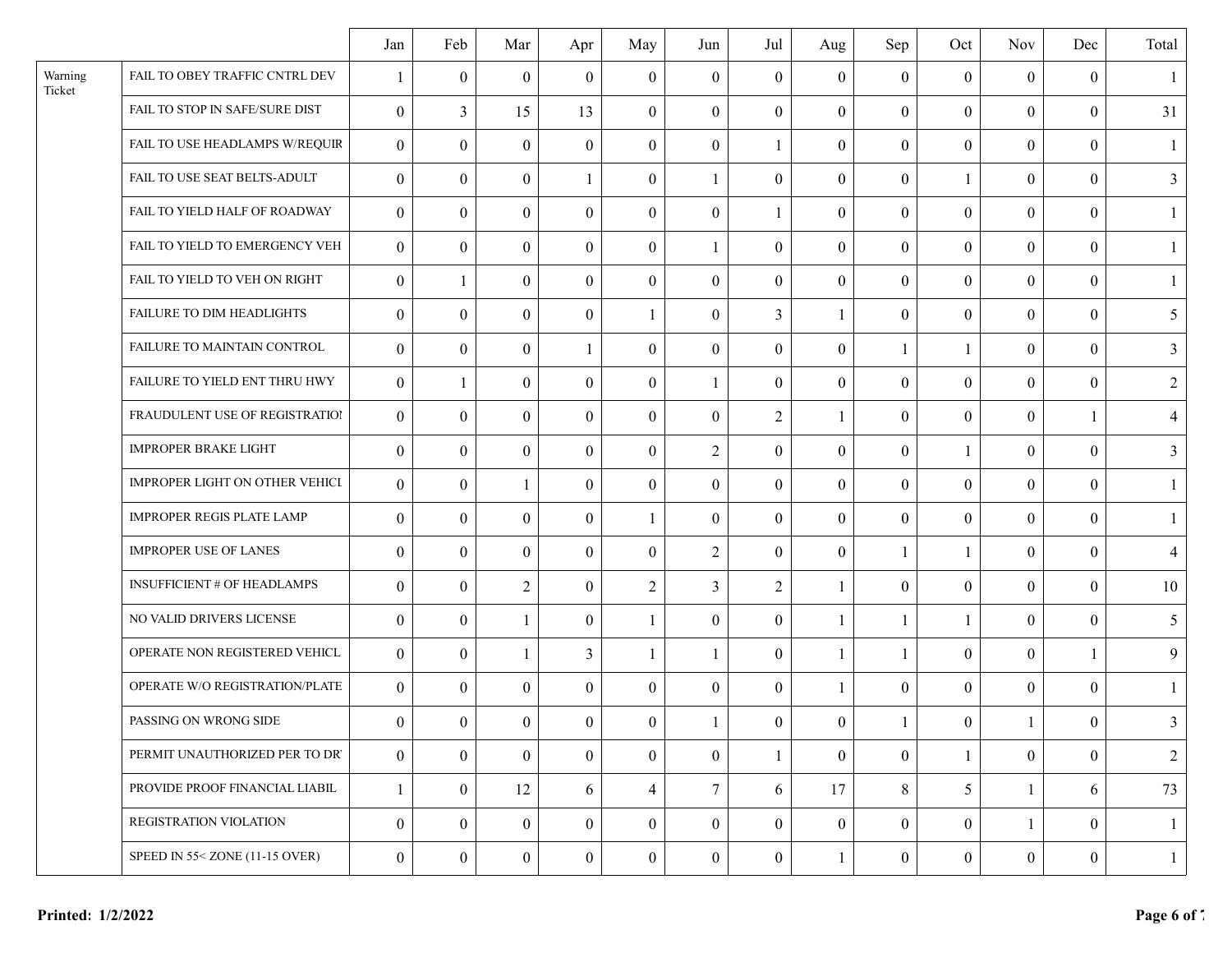|                   |                                       | Jan              | Feb            | Mar            | Apr            | May            | Jun              | Jul              | Aug              | Sep              | Oct              | <b>Nov</b>       | Dec              | Total          |
|-------------------|---------------------------------------|------------------|----------------|----------------|----------------|----------------|------------------|------------------|------------------|------------------|------------------|------------------|------------------|----------------|
| Warning<br>Ticket | FAIL TO OBEY TRAFFIC CNTRL DEV        |                  | $\theta$       | $\theta$       | $\theta$       | $\theta$       | $\boldsymbol{0}$ | $\mathbf{0}$     | $\overline{0}$   | $\mathbf{0}$     | $\boldsymbol{0}$ | $\boldsymbol{0}$ | $\theta$         |                |
|                   | FAIL TO STOP IN SAFE/SURE DIST        | $\mathbf{0}$     | $\overline{3}$ | 15             | 13             | $\theta$       | $\overline{0}$   | $\theta$         | $\theta$         | $\overline{0}$   | $\mathbf{0}$     | $\theta$         | $\theta$         | 31             |
|                   | FAIL TO USE HEADLAMPS W/REQUIR        | $\mathbf{0}$     | $\overline{0}$ | $\theta$       | $\overline{0}$ | $\mathbf{0}$   | $\overline{0}$   | 1                | $\boldsymbol{0}$ | $\overline{0}$   | $\boldsymbol{0}$ | $\theta$         | $\theta$         |                |
|                   | FAIL TO USE SEAT BELTS-ADULT          | $\mathbf{0}$     | $\theta$       | $\theta$       | 1              | $\theta$       | 1                | $\theta$         | $\boldsymbol{0}$ | $\boldsymbol{0}$ | $\mathbf{1}$     | $\theta$         | $\theta$         | 3              |
|                   | FAIL TO YIELD HALF OF ROADWAY         | $\mathbf{0}$     | $\overline{0}$ | $\overline{0}$ | $\mathbf{0}$   | $\theta$       | $\overline{0}$   | $\mathbf{1}$     | $\overline{0}$   | $\overline{0}$   | $\boldsymbol{0}$ | $\mathbf{0}$     | $\overline{0}$   |                |
|                   | FAIL TO YIELD TO EMERGENCY VEH        | $\mathbf{0}$     | $\mathbf{0}$   | $\theta$       | $\theta$       | $\theta$       | 1                | $\theta$         | $\boldsymbol{0}$ | $\overline{0}$   | $\boldsymbol{0}$ | $\theta$         | $\theta$         |                |
|                   | FAIL TO YIELD TO VEH ON RIGHT         | $\theta$         | $\mathbf{1}$   | $\theta$       | $\theta$       | $\mathbf{0}$   | $\boldsymbol{0}$ | $\mathbf{0}$     | $\overline{0}$   | $\overline{0}$   | $\boldsymbol{0}$ | $\theta$         | $\theta$         |                |
|                   | FAILURE TO DIM HEADLIGHTS             | $\mathbf{0}$     | $\theta$       | $\overline{0}$ | $\theta$       | $\mathbf{1}$   | $\boldsymbol{0}$ | $\overline{3}$   | 1                | $\boldsymbol{0}$ | $\boldsymbol{0}$ | $\theta$         | $\mathbf{0}$     | 5              |
|                   | FAILURE TO MAINTAIN CONTROL           | $\boldsymbol{0}$ | $\theta$       | $\theta$       | 1              | $\theta$       | $\boldsymbol{0}$ | $\boldsymbol{0}$ | $\boldsymbol{0}$ | $\mathbf{1}$     | $\mathbf{1}$     | $\boldsymbol{0}$ | $\theta$         | 3              |
|                   | FAILURE TO YIELD ENT THRU HWY         | $\overline{0}$   | $\mathbf{1}$   | $\overline{0}$ | $\mathbf{0}$   | $\theta$       | $\mathbf{1}$     | $\mathbf{0}$     | $\boldsymbol{0}$ | $\overline{0}$   | $\boldsymbol{0}$ | $\overline{0}$   | $\theta$         | $\overline{2}$ |
|                   | FRAUDULENT USE OF REGISTRATION        | $\overline{0}$   | $\mathbf{0}$   | $\overline{0}$ | $\theta$       | $\mathbf{0}$   | $\overline{0}$   | 2                | 1                | $\overline{0}$   | $\mathbf{0}$     | $\theta$         | -1               | $\overline{4}$ |
|                   | <b>IMPROPER BRAKE LIGHT</b>           | $\theta$         | $\Omega$       | $\Omega$       | $\Omega$       | $\theta$       | $\overline{2}$   | $\boldsymbol{0}$ | $\boldsymbol{0}$ | $\boldsymbol{0}$ | 1                | $\theta$         | $\theta$         | 3              |
|                   | <b>IMPROPER LIGHT ON OTHER VEHICI</b> | $\boldsymbol{0}$ | $\theta$       | $\mathbf{1}$   | $\theta$       | $\theta$       | $\overline{0}$   | $\mathbf{0}$     | $\boldsymbol{0}$ | $\overline{0}$   | $\boldsymbol{0}$ | $\mathbf{0}$     | $\overline{0}$   | $\mathbf{1}$   |
|                   | IMPROPER REGIS PLATE LAMP             | $\mathbf{0}$     | $\theta$       | $\theta$       | $\overline{0}$ | 1              | $\overline{0}$   | $\overline{0}$   | $\boldsymbol{0}$ | $\overline{0}$   | $\boldsymbol{0}$ | $\mathbf{0}$     | $\theta$         |                |
|                   | <b>IMPROPER USE OF LANES</b>          | $\mathbf{0}$     | $\theta$       | $\theta$       | $\theta$       | $\theta$       | $\overline{2}$   | $\theta$         | $\boldsymbol{0}$ | $\mathbf{1}$     | $\mathbf{1}$     | $\theta$         | $\theta$         | $\overline{4}$ |
|                   | <b>INSUFFICIENT # OF HEADLAMPS</b>    | $\boldsymbol{0}$ | $\mathbf{0}$   | $\overline{2}$ | $\mathbf{0}$   | $\overline{2}$ | $\overline{3}$   | $\overline{2}$   | 1                | $\overline{0}$   | $\boldsymbol{0}$ | $\mathbf{0}$     | $\mathbf{0}$     | 10             |
|                   | NO VALID DRIVERS LICENSE              | $\mathbf{0}$     | $\theta$       |                | $\Omega$       | 1              | $\theta$         | $\theta$         | 1                | $\mathbf{1}$     | 1                | $\theta$         | $\theta$         | 5              |
|                   | OPERATE NON REGISTERED VEHICL         | $\overline{0}$   | $\theta$       |                | 3              | $\mathbf{1}$   | 1                | $\boldsymbol{0}$ | 1                | $\mathbf{1}$     | $\boldsymbol{0}$ | $\theta$         | -1               | 9              |
|                   | OPERATE W/O REGISTRATION/PLATE        | $\mathbf{0}$     | $\theta$       | $\Omega$       | $\mathbf{0}$   | $\theta$       | $\overline{0}$   | $\theta$         | $\mathbf{1}$     | $\overline{0}$   | $\mathbf{0}$     | $\theta$         | $\mathbf{0}$     | $\mathbf{1}$   |
|                   | PASSING ON WRONG SIDE                 | $\overline{0}$   | $\mathbf{0}$   | $\overline{0}$ | $\overline{0}$ | $\overline{0}$ | $\mathbf{1}$     | $\overline{0}$   | $\overline{0}$   | $\mathbf{1}$     | $\overline{0}$   | $\mathbf{1}$     | $\overline{0}$   | $\overline{3}$ |
|                   | PERMIT UNAUTHORIZED PER TO DR'        | $\mathbf{0}$     | $\theta$       | $\theta$       | $\mathbf{0}$   | $\mathbf{0}$   | $\overline{0}$   | $\mathbf{1}$     | $\overline{0}$   | $\mathbf{0}$     | $\mathbf{1}$     | $\mathbf{0}$     | $\mathbf{0}$     | $\overline{2}$ |
|                   | PROVIDE PROOF FINANCIAL LIABIL        | $\mathbf{1}$     | $\mathbf{0}$   | 12             | 6              | $\overline{4}$ | $\overline{7}$   | 6                | 17               | 8                | 5                | 1                | 6                | 73             |
|                   | REGISTRATION VIOLATION                | $\boldsymbol{0}$ | $\mathbf{0}$   | $\overline{0}$ | $\theta$       | $\mathbf{0}$   | $\overline{0}$   | $\overline{0}$   | $\overline{0}$   | $\overline{0}$   | $\boldsymbol{0}$ | $\mathbf{1}$     | $\theta$         |                |
|                   | SPEED IN 55< ZONE (11-15 OVER)        | $\boldsymbol{0}$ | $\mathbf{0}$   | $\overline{0}$ | $\mathbf{0}$   | $\mathbf{0}$   | $\overline{0}$   | $\overline{0}$   | $\mathbf{1}$     | $\boldsymbol{0}$ | $\boldsymbol{0}$ | $\boldsymbol{0}$ | $\boldsymbol{0}$ | $\mathbf{1}$   |